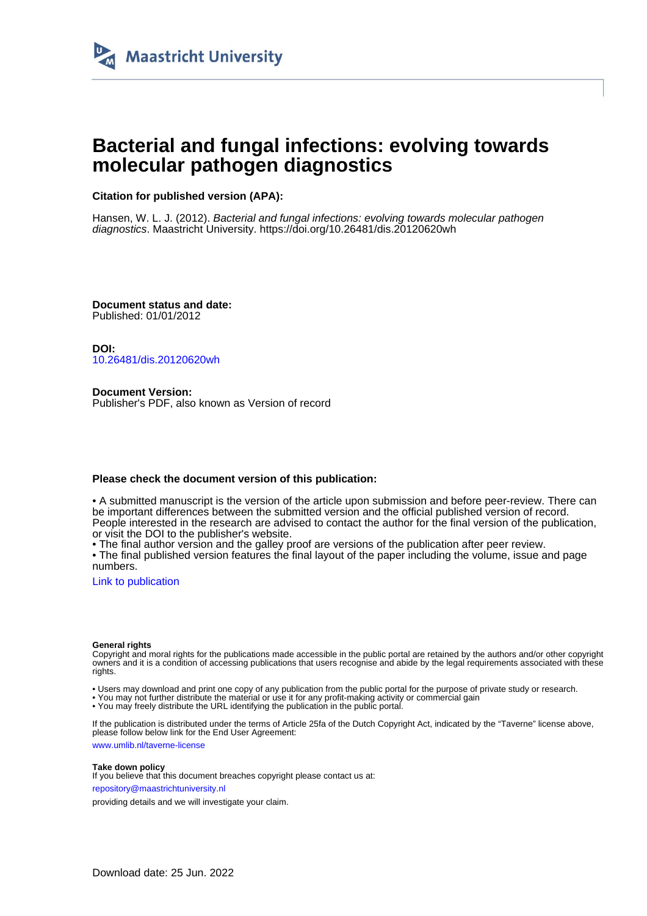

# **Bacterial and fungal infections: evolving towards molecular pathogen diagnostics**

**Citation for published version (APA):**

Hansen, W. L. J. (2012). Bacterial and fungal infections: evolving towards molecular pathogen diagnostics. Maastricht University. <https://doi.org/10.26481/dis.20120620wh>

**Document status and date:** Published: 01/01/2012

**DOI:** [10.26481/dis.20120620wh](https://doi.org/10.26481/dis.20120620wh)

**Document Version:** Publisher's PDF, also known as Version of record

### **Please check the document version of this publication:**

• A submitted manuscript is the version of the article upon submission and before peer-review. There can be important differences between the submitted version and the official published version of record. People interested in the research are advised to contact the author for the final version of the publication, or visit the DOI to the publisher's website.

• The final author version and the galley proof are versions of the publication after peer review.

• The final published version features the final layout of the paper including the volume, issue and page numbers.

[Link to publication](https://cris.maastrichtuniversity.nl/en/publications/3db0d4a2-3e57-4774-b980-ffb9dc75e56f)

#### **General rights**

Copyright and moral rights for the publications made accessible in the public portal are retained by the authors and/or other copyright owners and it is a condition of accessing publications that users recognise and abide by the legal requirements associated with these rights.

• Users may download and print one copy of any publication from the public portal for the purpose of private study or research.

• You may not further distribute the material or use it for any profit-making activity or commercial gain

• You may freely distribute the URL identifying the publication in the public portal.

If the publication is distributed under the terms of Article 25fa of the Dutch Copyright Act, indicated by the "Taverne" license above, please follow below link for the End User Agreement:

www.umlib.nl/taverne-license

#### **Take down policy**

If you believe that this document breaches copyright please contact us at: repository@maastrichtuniversity.nl

providing details and we will investigate your claim.